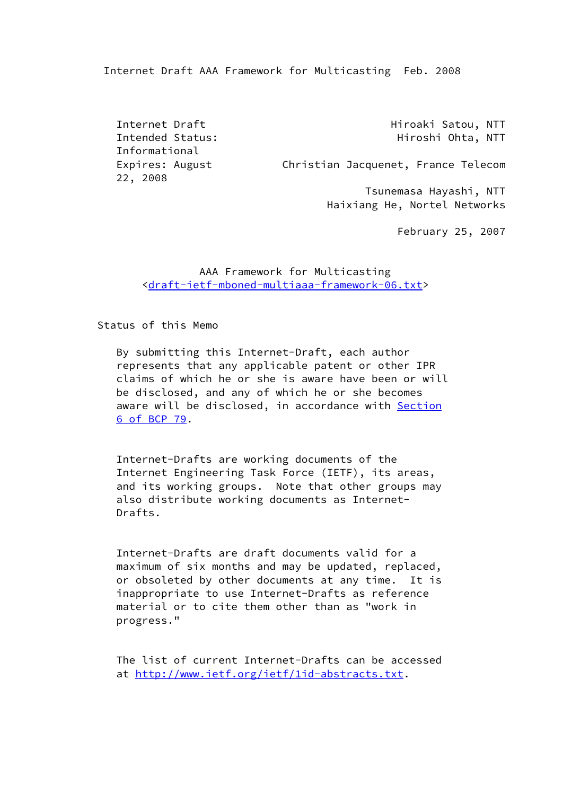Internet Draft AAA Framework for Multicasting Feb. 2008

 Informational 22, 2008

Internet Draft **Hiroaki** Satou, NTT Intended Status: The Hiroshi Ohta, NTT

Expires: August Christian Jacquenet, France Telecom

 Tsunemasa Hayashi, NTT Haixiang He, Nortel Networks

February 25, 2007

# AAA Framework for Multicasting <[draft-ietf-mboned-multiaaa-framework-06.txt](https://datatracker.ietf.org/doc/pdf/draft-ietf-mboned-multiaaa-framework-06.txt)>

Status of this Memo

 By submitting this Internet-Draft, each author represents that any applicable patent or other IPR claims of which he or she is aware have been or will be disclosed, and any of which he or she becomes aware will be disclosed, in accordance with [Section](https://datatracker.ietf.org/doc/pdf/bcp79#section-6) [6 of BCP 79](https://datatracker.ietf.org/doc/pdf/bcp79#section-6).

 Internet-Drafts are working documents of the Internet Engineering Task Force (IETF), its areas, and its working groups. Note that other groups may also distribute working documents as Internet- Drafts.

 Internet-Drafts are draft documents valid for a maximum of six months and may be updated, replaced, or obsoleted by other documents at any time. It is inappropriate to use Internet-Drafts as reference material or to cite them other than as "work in progress."

 The list of current Internet-Drafts can be accessed at [http://www.ietf.org/ietf/1id-abstracts.txt.](http://www.ietf.org/ietf/1id-abstracts.txt)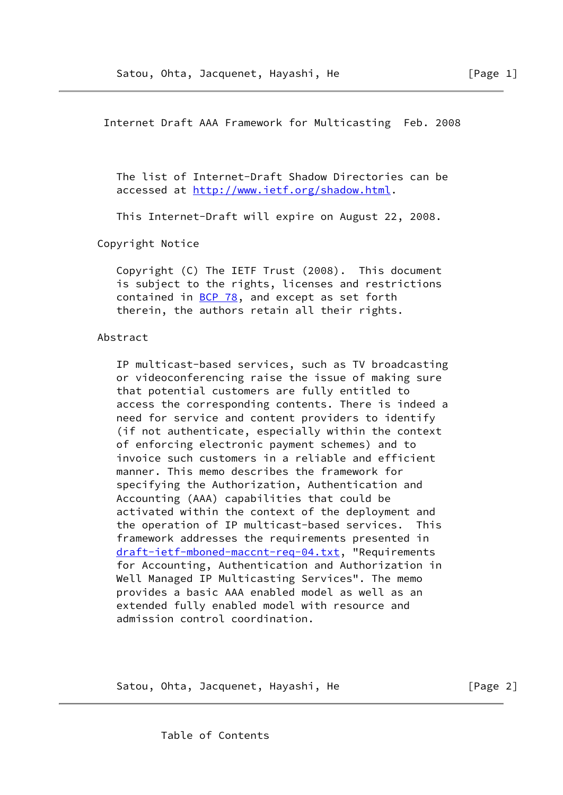Internet Draft AAA Framework for Multicasting Feb. 2008

 The list of Internet-Draft Shadow Directories can be accessed at<http://www.ietf.org/shadow.html>.

This Internet-Draft will expire on August 22, 2008.

Copyright Notice

 Copyright (C) The IETF Trust (2008). This document is subject to the rights, licenses and restrictions contained in [BCP 78](https://datatracker.ietf.org/doc/pdf/bcp78), and except as set forth therein, the authors retain all their rights.

Abstract

 IP multicast-based services, such as TV broadcasting or videoconferencing raise the issue of making sure that potential customers are fully entitled to access the corresponding contents. There is indeed a need for service and content providers to identify (if not authenticate, especially within the context of enforcing electronic payment schemes) and to invoice such customers in a reliable and efficient manner. This memo describes the framework for specifying the Authorization, Authentication and Accounting (AAA) capabilities that could be activated within the context of the deployment and the operation of IP multicast-based services. This framework addresses the requirements presented in [draft-ietf-mboned-maccnt-req-04.txt](https://datatracker.ietf.org/doc/pdf/draft-ietf-mboned-maccnt-req-04.txt), "Requirements for Accounting, Authentication and Authorization in Well Managed IP Multicasting Services". The memo provides a basic AAA enabled model as well as an extended fully enabled model with resource and admission control coordination.

Satou, Ohta, Jacquenet, Hayashi, He **compare 19** [Page 2]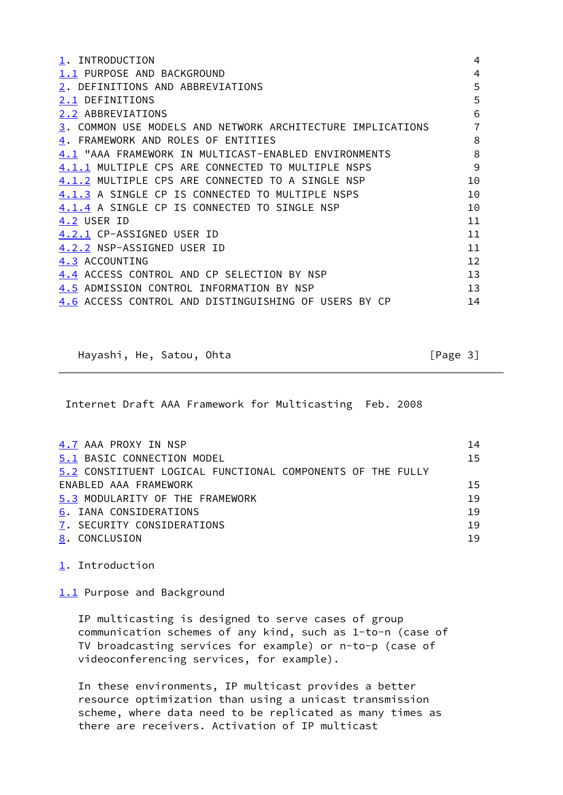<span id="page-2-11"></span><span id="page-2-10"></span><span id="page-2-9"></span><span id="page-2-8"></span><span id="page-2-7"></span><span id="page-2-6"></span><span id="page-2-5"></span><span id="page-2-4"></span><span id="page-2-3"></span><span id="page-2-2"></span><span id="page-2-1"></span><span id="page-2-0"></span>

| 1. INTRODUCTION                                            | $\overline{4}$ |
|------------------------------------------------------------|----------------|
| 1.1 PURPOSE AND BACKGROUND                                 | 4              |
| 2. DEFINITIONS AND ABBREVIATIONS                           | 5              |
| 2.1 DEFINITIONS                                            | 5              |
| 2.2 ABBREVIATIONS                                          | 6              |
| 3. COMMON USE MODELS AND NETWORK ARCHITECTURE IMPLICATIONS | $\overline{7}$ |
| 4. FRAMEWORK AND ROLES OF ENTITIES                         | 8              |
| 4.1 "AAA FRAMEWORK IN MULTICAST-ENABLED ENVIRONMENTS       | 8              |
| 4.1.1 MULTIPLE CPS ARE CONNECTED TO MULTIPLE NSPS          | 9              |
| 4.1.2 MULTIPLE CPS ARE CONNECTED TO A SINGLE NSP           | 10             |
| 4.1.3 A SINGLE CP IS CONNECTED TO MULTIPLE NSPS            | 10             |
| 4.1.4 A SINGLE CP IS CONNECTED TO SINGLE NSP               | 10             |
| 4.2 USER ID                                                | 11             |
| 4.2.1 CP-ASSIGNED USER ID                                  | 11             |
| 4.2.2 NSP-ASSIGNED USER ID                                 | 11             |
| 4.3 ACCOUNTING                                             | 12             |
| 4.4 ACCESS CONTROL AND CP SELECTION BY NSP                 | 13             |
| 4.5 ADMISSION CONTROL INFORMATION BY NSP                   | 13             |
| 4.6 ACCESS CONTROL AND DISTINGUISHING OF USERS BY CP       | 14             |

<span id="page-2-18"></span><span id="page-2-17"></span><span id="page-2-16"></span><span id="page-2-15"></span><span id="page-2-14"></span><span id="page-2-13"></span><span id="page-2-12"></span>Hayashi, He, Satou, Ohta [Page 3]

Internet Draft AAA Framework for Multicasting Feb. 2008

<span id="page-2-22"></span><span id="page-2-21"></span><span id="page-2-20"></span><span id="page-2-19"></span>

| 4.7 AAA PROXY IN NSP                                       | 14 |
|------------------------------------------------------------|----|
| 5.1 BASIC CONNECTION MODEL                                 | 15 |
| 5.2 CONSTITUENT LOGICAL FUNCTIONAL COMPONENTS OF THE FULLY |    |
| ENABLED AAA FRAMEWORK                                      | 15 |
| 5.3 MODULARITY OF THE FRAMEWORK                            | 19 |
| 6. IANA CONSIDERATIONS                                     | 19 |
| 7. SECURITY CONSIDERATIONS                                 | 19 |
| 8. CONCLUSION                                              | 19 |
|                                                            |    |

<span id="page-2-25"></span><span id="page-2-24"></span><span id="page-2-23"></span>[1](#page-2-0). Introduction

[1.1](#page-2-1) Purpose and Background

 IP multicasting is designed to serve cases of group communication schemes of any kind, such as 1-to-n (case of TV broadcasting services for example) or n-to-p (case of videoconferencing services, for example).

 In these environments, IP multicast provides a better resource optimization than using a unicast transmission scheme, where data need to be replicated as many times as there are receivers. Activation of IP multicast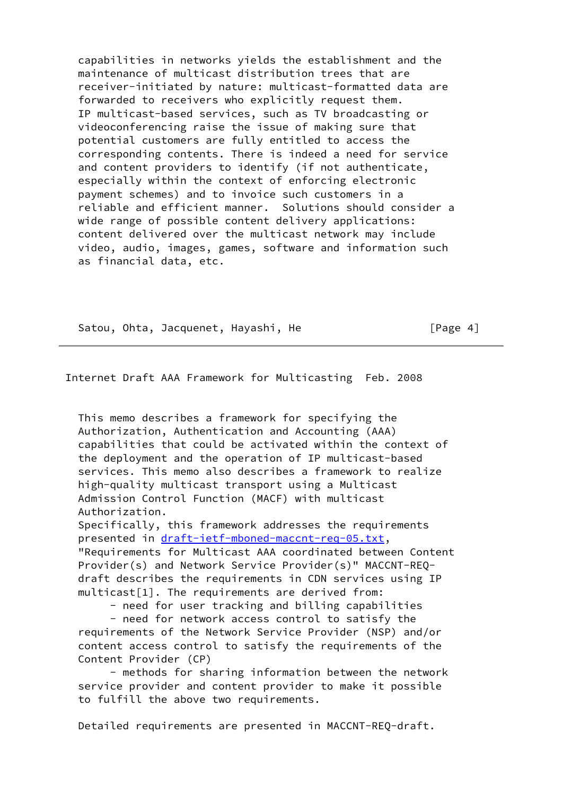capabilities in networks yields the establishment and the maintenance of multicast distribution trees that are receiver-initiated by nature: multicast-formatted data are forwarded to receivers who explicitly request them. IP multicast-based services, such as TV broadcasting or videoconferencing raise the issue of making sure that potential customers are fully entitled to access the corresponding contents. There is indeed a need for service and content providers to identify (if not authenticate, especially within the context of enforcing electronic payment schemes) and to invoice such customers in a reliable and efficient manner. Solutions should consider a wide range of possible content delivery applications: content delivered over the multicast network may include video, audio, images, games, software and information such as financial data, etc.

Satou, Ohta, Jacquenet, Hayashi, He [Page 4]

# Internet Draft AAA Framework for Multicasting Feb. 2008

 This memo describes a framework for specifying the Authorization, Authentication and Accounting (AAA) capabilities that could be activated within the context of the deployment and the operation of IP multicast-based services. This memo also describes a framework to realize high-quality multicast transport using a Multicast Admission Control Function (MACF) with multicast Authorization.

 Specifically, this framework addresses the requirements presented in [draft-ietf-mboned-maccnt-req-05.txt](https://datatracker.ietf.org/doc/pdf/draft-ietf-mboned-maccnt-req-05.txt), "Requirements for Multicast AAA coordinated between Content

 Provider(s) and Network Service Provider(s)" MACCNT-REQ draft describes the requirements in CDN services using IP multicast[1]. The requirements are derived from:

- need for user tracking and billing capabilities

 - need for network access control to satisfy the requirements of the Network Service Provider (NSP) and/or content access control to satisfy the requirements of the Content Provider (CP)

 - methods for sharing information between the network service provider and content provider to make it possible to fulfill the above two requirements.

Detailed requirements are presented in MACCNT-REQ-draft.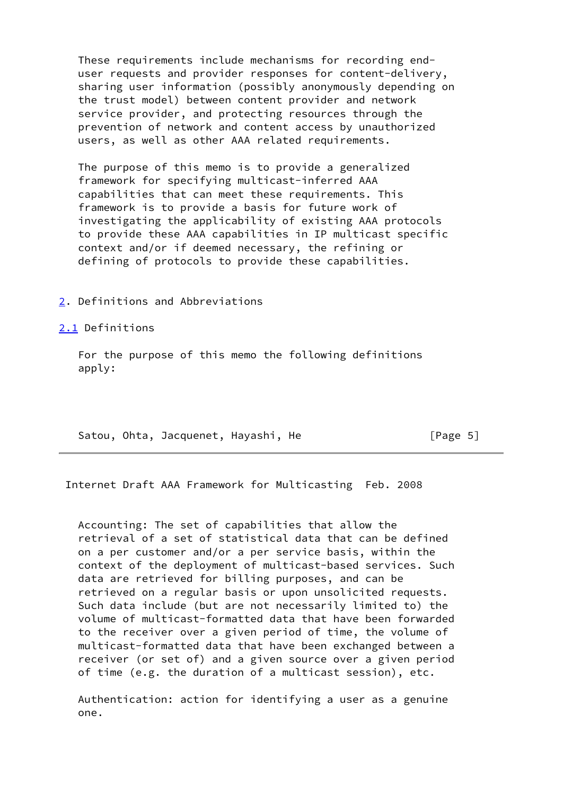These requirements include mechanisms for recording end user requests and provider responses for content-delivery, sharing user information (possibly anonymously depending on the trust model) between content provider and network service provider, and protecting resources through the prevention of network and content access by unauthorized users, as well as other AAA related requirements.

 The purpose of this memo is to provide a generalized framework for specifying multicast-inferred AAA capabilities that can meet these requirements. This framework is to provide a basis for future work of investigating the applicability of existing AAA protocols to provide these AAA capabilities in IP multicast specific context and/or if deemed necessary, the refining or defining of protocols to provide these capabilities.

#### [2](#page-2-2). Definitions and Abbreviations

#### [2.1](#page-2-3) Definitions

 For the purpose of this memo the following definitions apply:

Satou, Ohta, Jacquenet, Hayashi, He [Page 5]

Internet Draft AAA Framework for Multicasting Feb. 2008

 Accounting: The set of capabilities that allow the retrieval of a set of statistical data that can be defined on a per customer and/or a per service basis, within the context of the deployment of multicast-based services. Such data are retrieved for billing purposes, and can be retrieved on a regular basis or upon unsolicited requests. Such data include (but are not necessarily limited to) the volume of multicast-formatted data that have been forwarded to the receiver over a given period of time, the volume of multicast-formatted data that have been exchanged between a receiver (or set of) and a given source over a given period of time (e.g. the duration of a multicast session), etc.

 Authentication: action for identifying a user as a genuine one.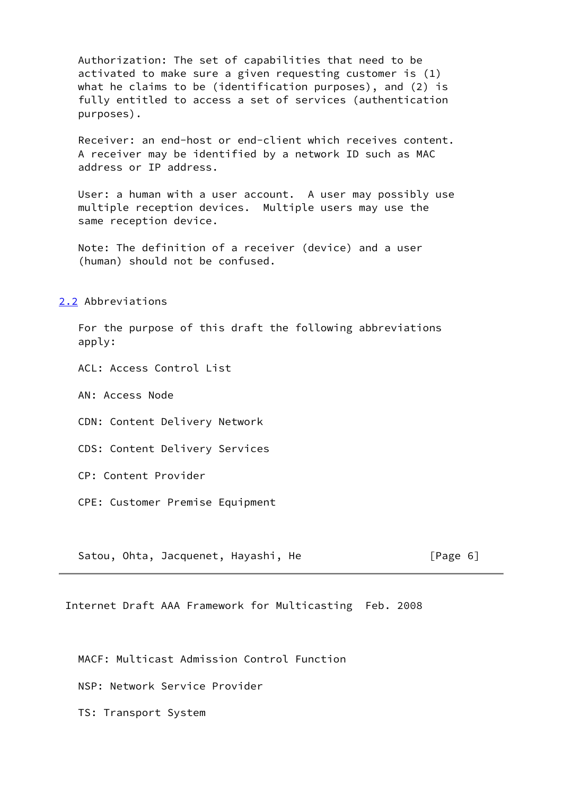Authorization: The set of capabilities that need to be activated to make sure a given requesting customer is (1) what he claims to be (identification purposes), and (2) is fully entitled to access a set of services (authentication purposes).

 Receiver: an end-host or end-client which receives content. A receiver may be identified by a network ID such as MAC address or IP address.

 User: a human with a user account. A user may possibly use multiple reception devices. Multiple users may use the same reception device.

 Note: The definition of a receiver (device) and a user (human) should not be confused.

[2.2](#page-2-4) Abbreviations

 For the purpose of this draft the following abbreviations apply:

ACL: Access Control List

AN: Access Node

CDN: Content Delivery Network

CDS: Content Delivery Services

CP: Content Provider

CPE: Customer Premise Equipment

Satou, Ohta, Jacquenet, Hayashi, He [Page 6]

Internet Draft AAA Framework for Multicasting Feb. 2008

MACF: Multicast Admission Control Function

NSP: Network Service Provider

TS: Transport System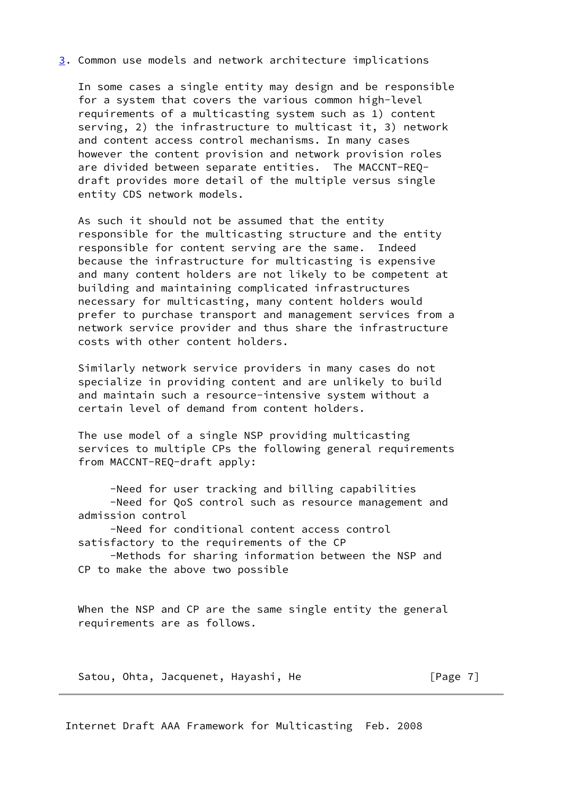#### [3](#page-2-5). Common use models and network architecture implications

 In some cases a single entity may design and be responsible for a system that covers the various common high-level requirements of a multicasting system such as 1) content serving, 2) the infrastructure to multicast it, 3) network and content access control mechanisms. In many cases however the content provision and network provision roles are divided between separate entities. The MACCNT-REQ draft provides more detail of the multiple versus single entity CDS network models.

 As such it should not be assumed that the entity responsible for the multicasting structure and the entity responsible for content serving are the same. Indeed because the infrastructure for multicasting is expensive and many content holders are not likely to be competent at building and maintaining complicated infrastructures necessary for multicasting, many content holders would prefer to purchase transport and management services from a network service provider and thus share the infrastructure costs with other content holders.

 Similarly network service providers in many cases do not specialize in providing content and are unlikely to build and maintain such a resource-intensive system without a certain level of demand from content holders.

 The use model of a single NSP providing multicasting services to multiple CPs the following general requirements from MACCNT-REQ-draft apply:

 -Need for user tracking and billing capabilities -Need for QoS control such as resource management and admission control

 -Need for conditional content access control satisfactory to the requirements of the CP

 -Methods for sharing information between the NSP and CP to make the above two possible

 When the NSP and CP are the same single entity the general requirements are as follows.

Satou, Ohta, Jacquenet, Hayashi, He **Example 20** [Page 7]

Internet Draft AAA Framework for Multicasting Feb. 2008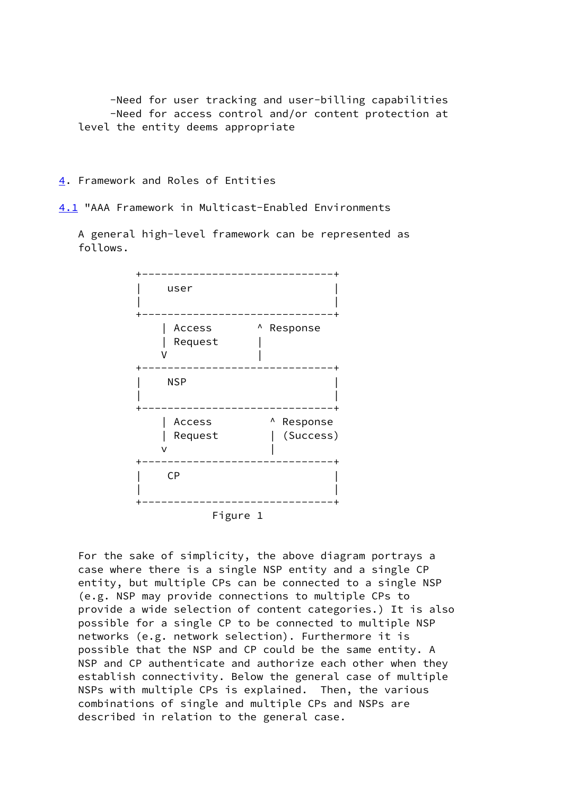-Need for user tracking and user-billing capabilities -Need for access control and/or content protection at level the entity deems appropriate

## [4](#page-2-6). Framework and Roles of Entities

[4.1](#page-2-7) "AAA Framework in Multicast-Enabled Environments

 A general high-level framework can be represented as follows.



 For the sake of simplicity, the above diagram portrays a case where there is a single NSP entity and a single CP entity, but multiple CPs can be connected to a single NSP (e.g. NSP may provide connections to multiple CPs to provide a wide selection of content categories.) It is also possible for a single CP to be connected to multiple NSP networks (e.g. network selection). Furthermore it is possible that the NSP and CP could be the same entity. A NSP and CP authenticate and authorize each other when they establish connectivity. Below the general case of multiple NSPs with multiple CPs is explained. Then, the various combinations of single and multiple CPs and NSPs are described in relation to the general case.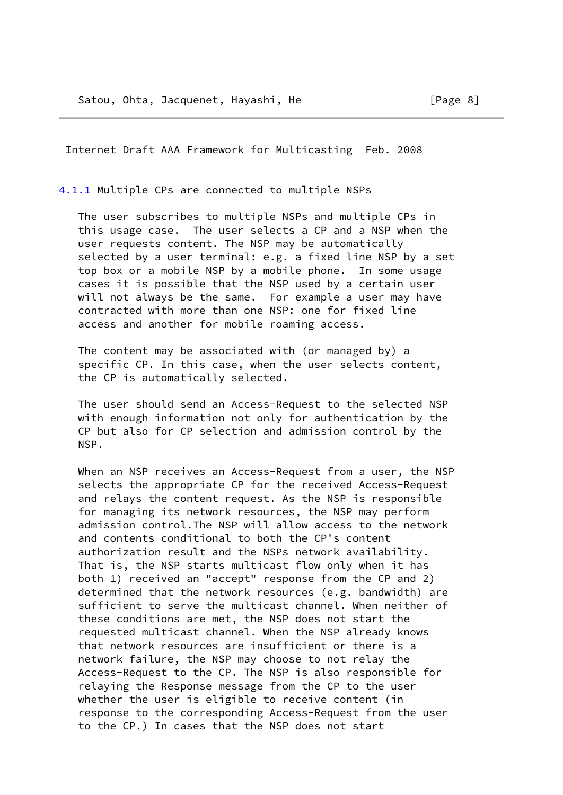Internet Draft AAA Framework for Multicasting Feb. 2008

[4.1.1](#page-2-8) Multiple CPs are connected to multiple NSPs

 The user subscribes to multiple NSPs and multiple CPs in this usage case. The user selects a CP and a NSP when the user requests content. The NSP may be automatically selected by a user terminal: e.g. a fixed line NSP by a set top box or a mobile NSP by a mobile phone. In some usage cases it is possible that the NSP used by a certain user will not always be the same. For example a user may have contracted with more than one NSP: one for fixed line access and another for mobile roaming access.

 The content may be associated with (or managed by) a specific CP. In this case, when the user selects content, the CP is automatically selected.

 The user should send an Access-Request to the selected NSP with enough information not only for authentication by the CP but also for CP selection and admission control by the NSP.

 When an NSP receives an Access-Request from a user, the NSP selects the appropriate CP for the received Access-Request and relays the content request. As the NSP is responsible for managing its network resources, the NSP may perform admission control.The NSP will allow access to the network and contents conditional to both the CP's content authorization result and the NSPs network availability. That is, the NSP starts multicast flow only when it has both 1) received an "accept" response from the CP and 2) determined that the network resources (e.g. bandwidth) are sufficient to serve the multicast channel. When neither of these conditions are met, the NSP does not start the requested multicast channel. When the NSP already knows that network resources are insufficient or there is a network failure, the NSP may choose to not relay the Access-Request to the CP. The NSP is also responsible for relaying the Response message from the CP to the user whether the user is eligible to receive content (in response to the corresponding Access-Request from the user to the CP.) In cases that the NSP does not start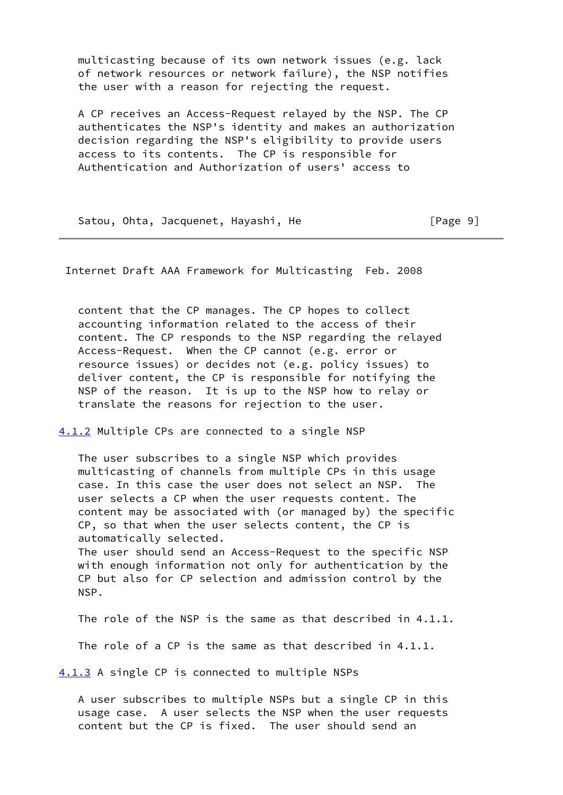multicasting because of its own network issues (e.g. lack of network resources or network failure), the NSP notifies the user with a reason for rejecting the request.

 A CP receives an Access-Request relayed by the NSP. The CP authenticates the NSP's identity and makes an authorization decision regarding the NSP's eligibility to provide users access to its contents. The CP is responsible for Authentication and Authorization of users' access to

Satou, Ohta, Jacquenet, Hayashi, He [Page 9]

Internet Draft AAA Framework for Multicasting Feb. 2008

 content that the CP manages. The CP hopes to collect accounting information related to the access of their content. The CP responds to the NSP regarding the relayed Access-Request. When the CP cannot (e.g. error or resource issues) or decides not (e.g. policy issues) to deliver content, the CP is responsible for notifying the NSP of the reason. It is up to the NSP how to relay or translate the reasons for rejection to the user.

[4.1.2](#page-2-9) Multiple CPs are connected to a single NSP

 The user subscribes to a single NSP which provides multicasting of channels from multiple CPs in this usage case. In this case the user does not select an NSP. The user selects a CP when the user requests content. The content may be associated with (or managed by) the specific CP, so that when the user selects content, the CP is automatically selected. The user should send an Access-Request to the specific NSP with enough information not only for authentication by the CP but also for CP selection and admission control by the NSP.

 The role of the NSP is the same as that described in 4.1.1. The role of a CP is the same as that described in 4.1.1.

[4.1.3](#page-2-10) A single CP is connected to multiple NSPs

 A user subscribes to multiple NSPs but a single CP in this usage case. A user selects the NSP when the user requests content but the CP is fixed. The user should send an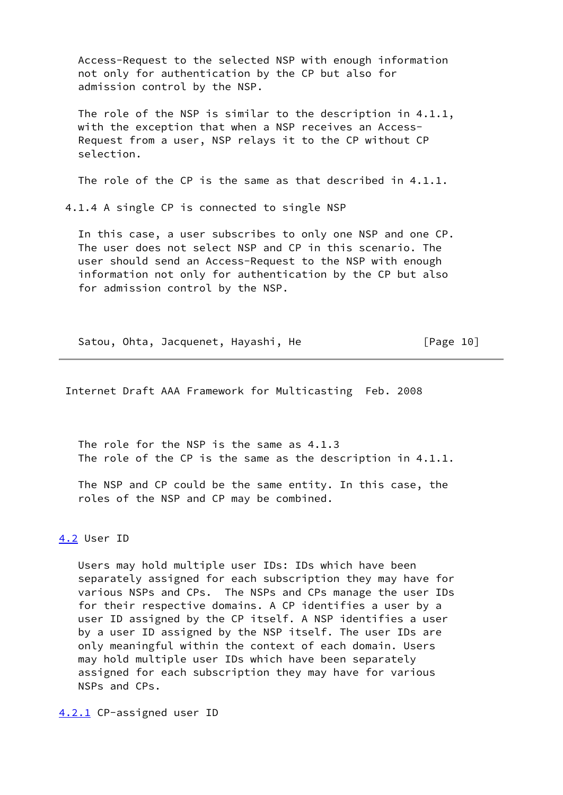Access-Request to the selected NSP with enough information not only for authentication by the CP but also for admission control by the NSP.

The role of the NSP is similar to the description in 4.1.1, with the exception that when a NSP receives an Access- Request from a user, NSP relays it to the CP without CP selection.

The role of the CP is the same as that described in 4.1.1.

4.1.4 A single CP is connected to single NSP

 In this case, a user subscribes to only one NSP and one CP. The user does not select NSP and CP in this scenario. The user should send an Access-Request to the NSP with enough information not only for authentication by the CP but also for admission control by the NSP.

Satou, Ohta, Jacquenet, Hayashi, He [Page 10]

Internet Draft AAA Framework for Multicasting Feb. 2008

 The role for the NSP is the same as 4.1.3 The role of the CP is the same as the description in 4.1.1.

 The NSP and CP could be the same entity. In this case, the roles of the NSP and CP may be combined.

[4.2](#page-2-12) User ID

 Users may hold multiple user IDs: IDs which have been separately assigned for each subscription they may have for various NSPs and CPs. The NSPs and CPs manage the user IDs for their respective domains. A CP identifies a user by a user ID assigned by the CP itself. A NSP identifies a user by a user ID assigned by the NSP itself. The user IDs are only meaningful within the context of each domain. Users may hold multiple user IDs which have been separately assigned for each subscription they may have for various NSPs and CPs.

[4.2.1](#page-2-13) CP-assigned user ID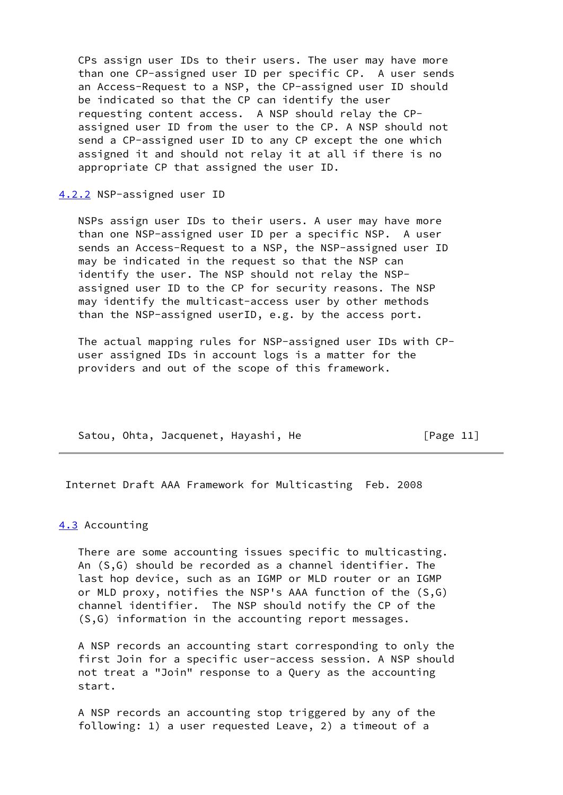CPs assign user IDs to their users. The user may have more than one CP-assigned user ID per specific CP. A user sends an Access-Request to a NSP, the CP-assigned user ID should be indicated so that the CP can identify the user requesting content access. A NSP should relay the CP assigned user ID from the user to the CP. A NSP should not send a CP-assigned user ID to any CP except the one which assigned it and should not relay it at all if there is no appropriate CP that assigned the user ID.

[4.2.2](#page-2-14) NSP-assigned user ID

 NSPs assign user IDs to their users. A user may have more than one NSP-assigned user ID per a specific NSP. A user sends an Access-Request to a NSP, the NSP-assigned user ID may be indicated in the request so that the NSP can identify the user. The NSP should not relay the NSP assigned user ID to the CP for security reasons. The NSP may identify the multicast-access user by other methods than the NSP-assigned userID, e.g. by the access port.

 The actual mapping rules for NSP-assigned user IDs with CP user assigned IDs in account logs is a matter for the providers and out of the scope of this framework.

Satou, Ohta, Jacquenet, Hayashi, He [Page 11]

Internet Draft AAA Framework for Multicasting Feb. 2008

#### [4.3](#page-2-15) Accounting

 There are some accounting issues specific to multicasting. An (S,G) should be recorded as a channel identifier. The last hop device, such as an IGMP or MLD router or an IGMP or MLD proxy, notifies the NSP's AAA function of the (S,G) channel identifier. The NSP should notify the CP of the (S,G) information in the accounting report messages.

 A NSP records an accounting start corresponding to only the first Join for a specific user-access session. A NSP should not treat a "Join" response to a Query as the accounting start.

 A NSP records an accounting stop triggered by any of the following: 1) a user requested Leave, 2) a timeout of a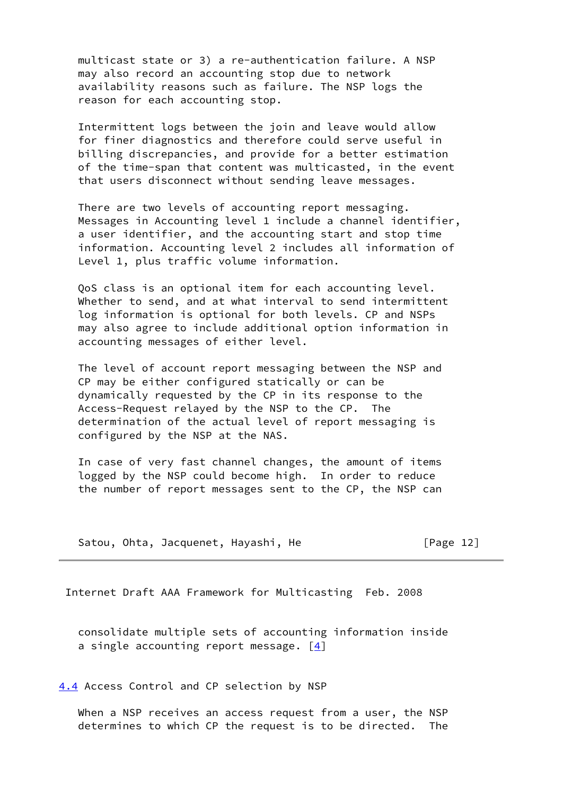multicast state or 3) a re-authentication failure. A NSP may also record an accounting stop due to network availability reasons such as failure. The NSP logs the reason for each accounting stop.

 Intermittent logs between the join and leave would allow for finer diagnostics and therefore could serve useful in billing discrepancies, and provide for a better estimation of the time-span that content was multicasted, in the event that users disconnect without sending leave messages.

 There are two levels of accounting report messaging. Messages in Accounting level 1 include a channel identifier, a user identifier, and the accounting start and stop time information. Accounting level 2 includes all information of Level 1, plus traffic volume information.

 QoS class is an optional item for each accounting level. Whether to send, and at what interval to send intermittent log information is optional for both levels. CP and NSPs may also agree to include additional option information in accounting messages of either level.

 The level of account report messaging between the NSP and CP may be either configured statically or can be dynamically requested by the CP in its response to the Access-Request relayed by the NSP to the CP. The determination of the actual level of report messaging is configured by the NSP at the NAS.

 In case of very fast channel changes, the amount of items logged by the NSP could become high. In order to reduce the number of report messages sent to the CP, the NSP can

Satou, Ohta, Jacquenet, Hayashi, He [Page 12]

Internet Draft AAA Framework for Multicasting Feb. 2008

 consolidate multiple sets of accounting information inside a single accounting report message.  $[4]$  $[4]$ 

[4.4](#page-2-16) Access Control and CP selection by NSP

 When a NSP receives an access request from a user, the NSP determines to which CP the request is to be directed. The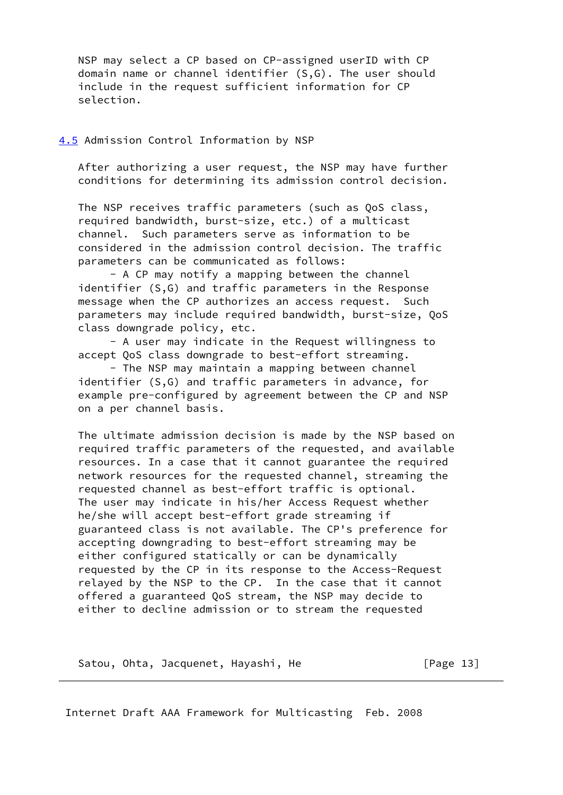NSP may select a CP based on CP-assigned userID with CP domain name or channel identifier (S,G). The user should include in the request sufficient information for CP selection.

### [4.5](#page-2-17) Admission Control Information by NSP

 After authorizing a user request, the NSP may have further conditions for determining its admission control decision.

 The NSP receives traffic parameters (such as QoS class, required bandwidth, burst-size, etc.) of a multicast channel. Such parameters serve as information to be considered in the admission control decision. The traffic parameters can be communicated as follows:

 - A CP may notify a mapping between the channel identifier (S,G) and traffic parameters in the Response message when the CP authorizes an access request. Such parameters may include required bandwidth, burst-size, QoS class downgrade policy, etc.

 - A user may indicate in the Request willingness to accept QoS class downgrade to best-effort streaming.

 - The NSP may maintain a mapping between channel identifier (S,G) and traffic parameters in advance, for example pre-configured by agreement between the CP and NSP on a per channel basis.

 The ultimate admission decision is made by the NSP based on required traffic parameters of the requested, and available resources. In a case that it cannot guarantee the required network resources for the requested channel, streaming the requested channel as best-effort traffic is optional. The user may indicate in his/her Access Request whether he/she will accept best-effort grade streaming if guaranteed class is not available. The CP's preference for accepting downgrading to best-effort streaming may be either configured statically or can be dynamically requested by the CP in its response to the Access-Request relayed by the NSP to the CP. In the case that it cannot offered a guaranteed QoS stream, the NSP may decide to either to decline admission or to stream the requested

Satou, Ohta, Jacquenet, Hayashi, He [Page 13]

Internet Draft AAA Framework for Multicasting Feb. 2008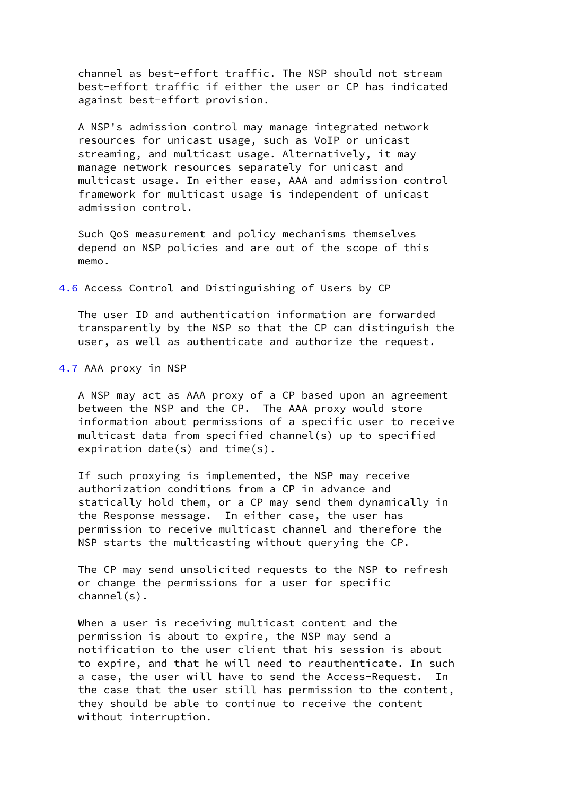channel as best-effort traffic. The NSP should not stream best-effort traffic if either the user or CP has indicated against best-effort provision.

 A NSP's admission control may manage integrated network resources for unicast usage, such as VoIP or unicast streaming, and multicast usage. Alternatively, it may manage network resources separately for unicast and multicast usage. In either ease, AAA and admission control framework for multicast usage is independent of unicast admission control.

 Such QoS measurement and policy mechanisms themselves depend on NSP policies and are out of the scope of this memo.

[4.6](#page-2-18) Access Control and Distinguishing of Users by CP

 The user ID and authentication information are forwarded transparently by the NSP so that the CP can distinguish the user, as well as authenticate and authorize the request.

[4.7](#page-2-19) AAA proxy in NSP

 A NSP may act as AAA proxy of a CP based upon an agreement between the NSP and the CP. The AAA proxy would store information about permissions of a specific user to receive multicast data from specified channel(s) up to specified expiration date(s) and time(s).

 If such proxying is implemented, the NSP may receive authorization conditions from a CP in advance and statically hold them, or a CP may send them dynamically in the Response message. In either case, the user has permission to receive multicast channel and therefore the NSP starts the multicasting without querying the CP.

 The CP may send unsolicited requests to the NSP to refresh or change the permissions for a user for specific channel(s).

 When a user is receiving multicast content and the permission is about to expire, the NSP may send a notification to the user client that his session is about to expire, and that he will need to reauthenticate. In such a case, the user will have to send the Access-Request. In the case that the user still has permission to the content, they should be able to continue to receive the content without interruption.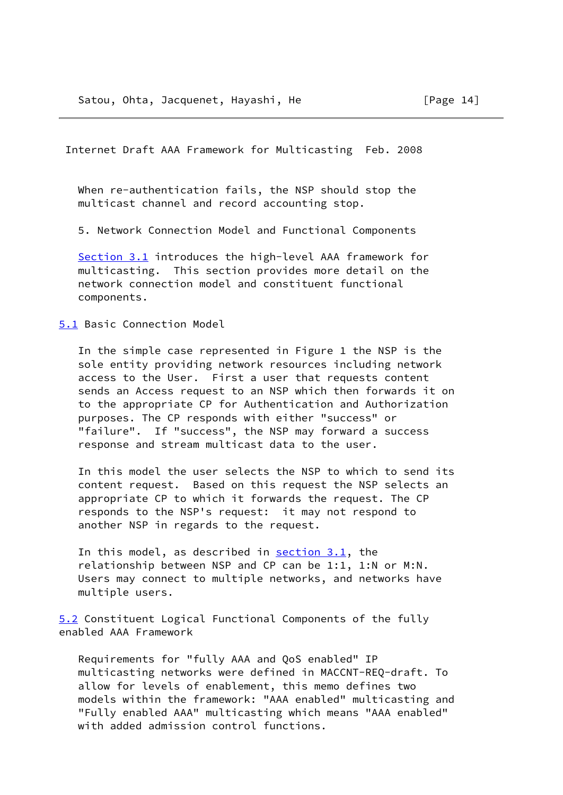When re-authentication fails, the NSP should stop the multicast channel and record accounting stop.

5. Network Connection Model and Functional Components

Section 3.1 introduces the high-level AAA framework for multicasting. This section provides more detail on the network connection model and constituent functional components.

[5.1](#page-2-20) Basic Connection Model

 In the simple case represented in Figure 1 the NSP is the sole entity providing network resources including network access to the User. First a user that requests content sends an Access request to an NSP which then forwards it on to the appropriate CP for Authentication and Authorization purposes. The CP responds with either "success" or "failure". If "success", the NSP may forward a success response and stream multicast data to the user.

 In this model the user selects the NSP to which to send its content request. Based on this request the NSP selects an appropriate CP to which it forwards the request. The CP responds to the NSP's request: it may not respond to another NSP in regards to the request.

In this model, as described in  $section\ 3.1$ , the relationship between NSP and CP can be 1:1, 1:N or M:N. Users may connect to multiple networks, and networks have multiple users.

[5.2](#page-2-21) Constituent Logical Functional Components of the fully enabled AAA Framework

 Requirements for "fully AAA and QoS enabled" IP multicasting networks were defined in MACCNT-REQ-draft. To allow for levels of enablement, this memo defines two models within the framework: "AAA enabled" multicasting and "Fully enabled AAA" multicasting which means "AAA enabled" with added admission control functions.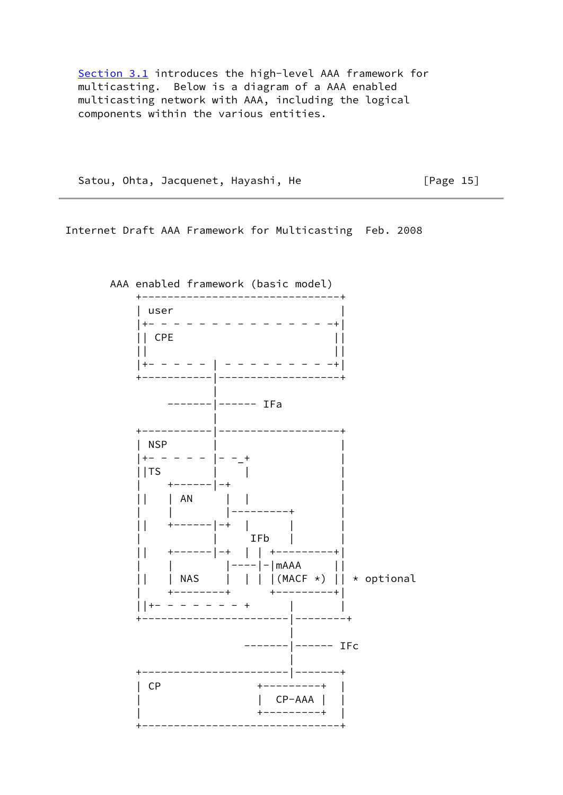Section 3.1 introduces the high-level AAA framework for multicasting. Below is a diagram of a AAA enabled multicasting network with AAA, including the logical components within the various entities.

Satou, Ohta, Jacquenet, Hayashi, He [Page 15]

Internet Draft AAA Framework for Multicasting Feb. 2008

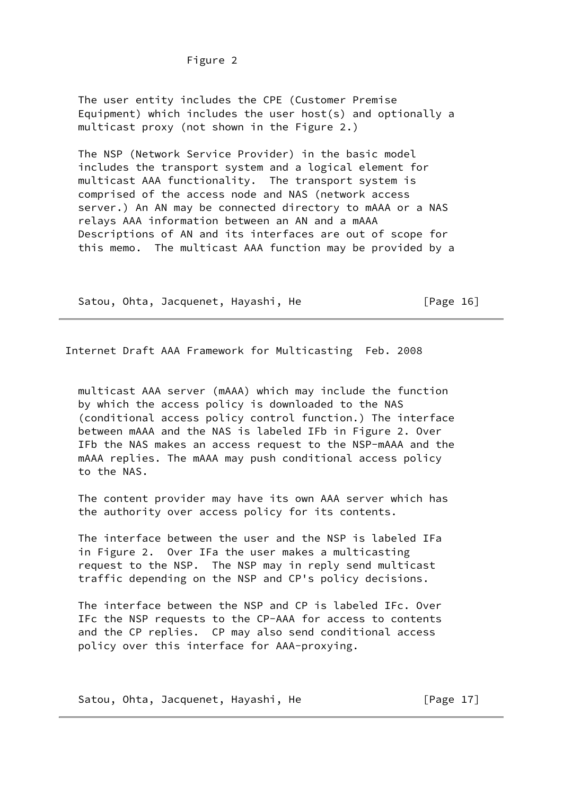Figure 2

 The user entity includes the CPE (Customer Premise Equipment) which includes the user host(s) and optionally a multicast proxy (not shown in the Figure 2.)

 The NSP (Network Service Provider) in the basic model includes the transport system and a logical element for multicast AAA functionality. The transport system is comprised of the access node and NAS (network access server.) An AN may be connected directory to mAAA or a NAS relays AAA information between an AN and a mAAA Descriptions of AN and its interfaces are out of scope for this memo. The multicast AAA function may be provided by a

Satou, Ohta, Jacquenet, Hayashi, He [Page 16]

Internet Draft AAA Framework for Multicasting Feb. 2008

 multicast AAA server (mAAA) which may include the function by which the access policy is downloaded to the NAS (conditional access policy control function.) The interface between mAAA and the NAS is labeled IFb in Figure 2. Over IFb the NAS makes an access request to the NSP-mAAA and the mAAA replies. The mAAA may push conditional access policy to the NAS.

 The content provider may have its own AAA server which has the authority over access policy for its contents.

 The interface between the user and the NSP is labeled IFa in Figure 2. Over IFa the user makes a multicasting request to the NSP. The NSP may in reply send multicast traffic depending on the NSP and CP's policy decisions.

 The interface between the NSP and CP is labeled IFc. Over IFc the NSP requests to the CP-AAA for access to contents and the CP replies. CP may also send conditional access policy over this interface for AAA-proxying.

Satou, Ohta, Jacquenet, Hayashi, He [Page 17]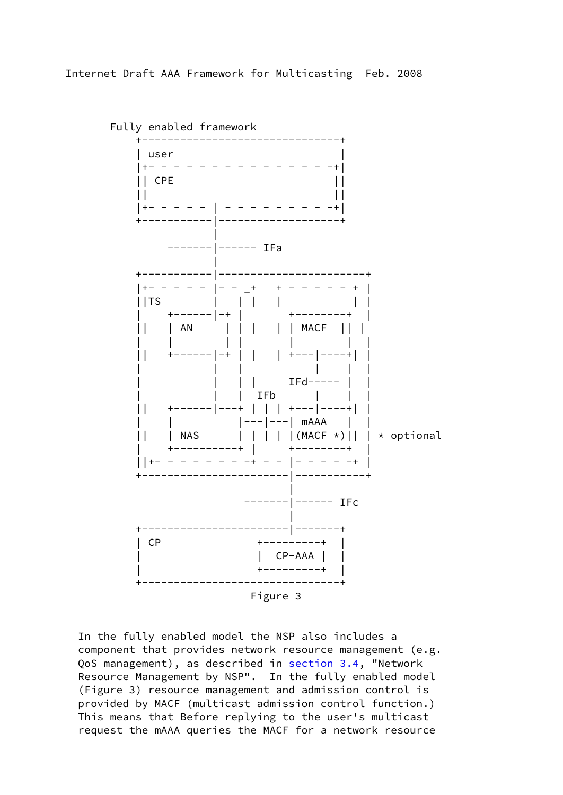

 In the fully enabled model the NSP also includes a component that provides network resource management (e.g. QoS management), as described in section 3.4, "Network Resource Management by NSP". In the fully enabled model (Figure 3) resource management and admission control is provided by MACF (multicast admission control function.) This means that Before replying to the user's multicast request the mAAA queries the MACF for a network resource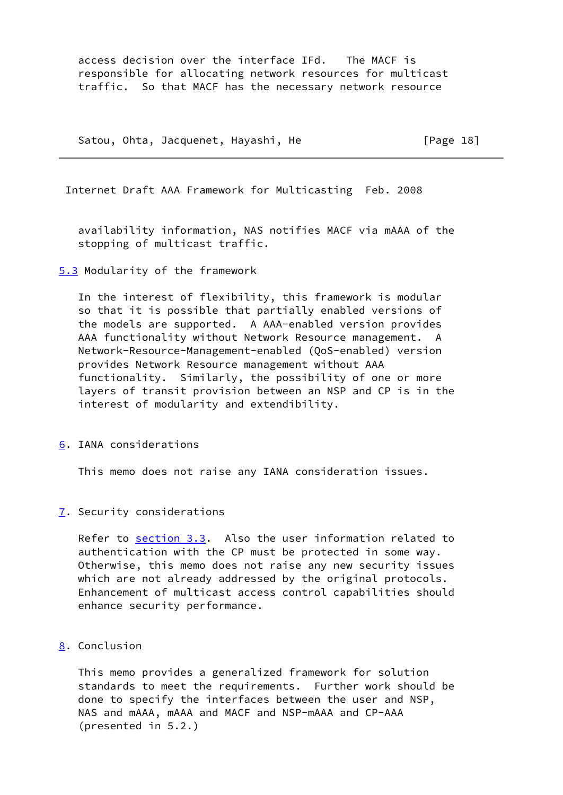access decision over the interface IFd. The MACF is responsible for allocating network resources for multicast traffic. So that MACF has the necessary network resource

Satou, Ohta, Jacquenet, Hayashi, He **Filter** [Page 18]

Internet Draft AAA Framework for Multicasting Feb. 2008

 availability information, NAS notifies MACF via mAAA of the stopping of multicast traffic.

[5.3](#page-2-22) Modularity of the framework

 In the interest of flexibility, this framework is modular so that it is possible that partially enabled versions of the models are supported. A AAA-enabled version provides AAA functionality without Network Resource management. A Network-Resource-Management-enabled (QoS-enabled) version provides Network Resource management without AAA functionality. Similarly, the possibility of one or more layers of transit provision between an NSP and CP is in the interest of modularity and extendibility.

[6](#page-2-23). IANA considerations

This memo does not raise any IANA consideration issues.

[7](#page-2-24). Security considerations

Refer to section 3.3. Also the user information related to authentication with the CP must be protected in some way. Otherwise, this memo does not raise any new security issues which are not already addressed by the original protocols. Enhancement of multicast access control capabilities should enhance security performance.

[8](#page-2-25). Conclusion

 This memo provides a generalized framework for solution standards to meet the requirements. Further work should be done to specify the interfaces between the user and NSP, NAS and mAAA, mAAA and MACF and NSP-mAAA and CP-AAA (presented in 5.2.)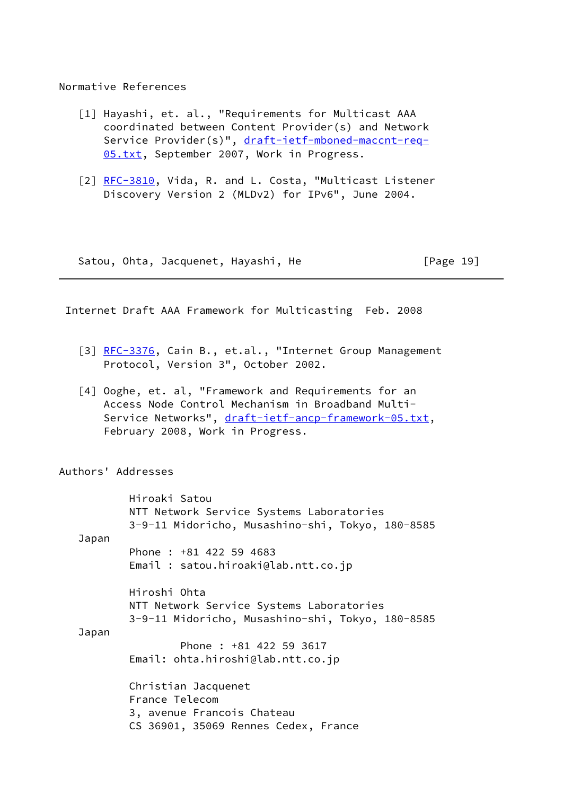### Normative References

- [1] Hayashi, et. al., "Requirements for Multicast AAA coordinated between Content Provider(s) and Network Service Provider(s)", [draft-ietf-mboned-maccnt-req-](https://datatracker.ietf.org/doc/pdf/draft-ietf-mboned-maccnt-req-05.txt) [05.txt](https://datatracker.ietf.org/doc/pdf/draft-ietf-mboned-maccnt-req-05.txt), September 2007, Work in Progress.
- [2] [RFC-3810,](https://datatracker.ietf.org/doc/pdf/rfc3810) Vida, R. and L. Costa, "Multicast Listener Discovery Version 2 (MLDv2) for IPv6", June 2004.

Satou, Ohta, Jacquenet, Hayashi, He **Filter** [Page 19]

Internet Draft AAA Framework for Multicasting Feb. 2008

- [3] [RFC-3376,](https://datatracker.ietf.org/doc/pdf/rfc3376) Cain B., et.al., "Internet Group Management Protocol, Version 3", October 2002.
- <span id="page-20-0"></span>[4] Ooghe, et. al, "Framework and Requirements for an Access Node Control Mechanism in Broadband Multi Service Networks", [draft-ietf-ancp-framework-05.txt,](https://datatracker.ietf.org/doc/pdf/draft-ietf-ancp-framework-05.txt) February 2008, Work in Progress.

Authors' Addresses

 Hiroaki Satou NTT Network Service Systems Laboratories 3-9-11 Midoricho, Musashino-shi, Tokyo, 180-8585 Japan Phone : +81 422 59 4683 Email : satou.hiroaki@lab.ntt.co.jp Hiroshi Ohta NTT Network Service Systems Laboratories 3-9-11 Midoricho, Musashino-shi, Tokyo, 180-8585 Japan Phone : +81 422 59 3617 Email: ohta.hiroshi@lab.ntt.co.jp Christian Jacquenet France Telecom 3, avenue Francois Chateau CS 36901, 35069 Rennes Cedex, France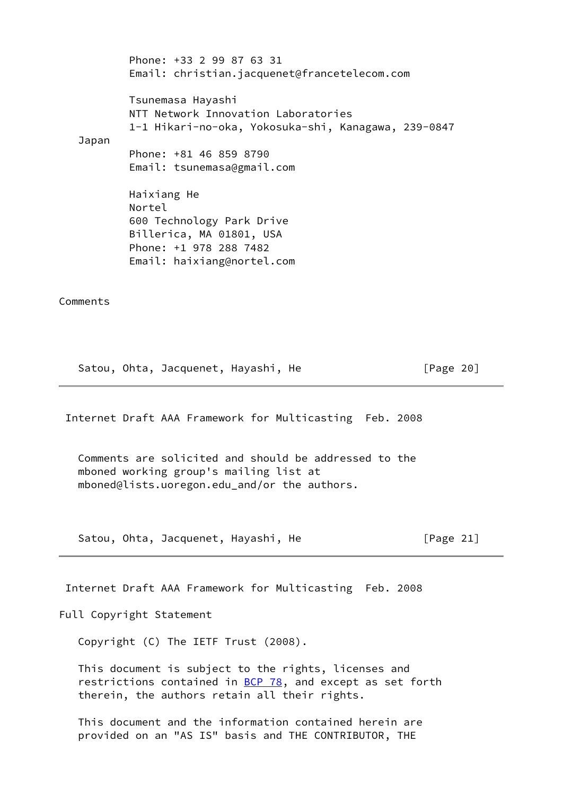| Japan    | Phone: +33 2 99 87 63 31<br>Email: christian.jacquenet@francetelecom.com                                                               |
|----------|----------------------------------------------------------------------------------------------------------------------------------------|
|          | Tsunemasa Hayashi<br>NTT Network Innovation Laboratories<br>1-1 Hikari-no-oka, Yokosuka-shi, Kanagawa, 239-0847                        |
|          | Phone: +81 46 859 8790<br>Email: tsunemasa@gmail.com                                                                                   |
|          | Haixiang He<br>Nortel<br>600 Technology Park Drive<br>Billerica, MA 01801, USA<br>Phone: +1 978 288 7482<br>Email: haixiang@nortel.com |
| Comments |                                                                                                                                        |

Satou, Ohta, Jacquenet, Hayashi, He [Page 20]

Internet Draft AAA Framework for Multicasting Feb. 2008

 Comments are solicited and should be addressed to the mboned working group's mailing list at mboned@lists.uoregon.edu\_and/or the authors.

Satou, Ohta, Jacquenet, Hayashi, He [Page 21]

Internet Draft AAA Framework for Multicasting Feb. 2008

Full Copyright Statement

Copyright (C) The IETF Trust (2008).

 This document is subject to the rights, licenses and restrictions contained in [BCP 78](https://datatracker.ietf.org/doc/pdf/bcp78), and except as set forth therein, the authors retain all their rights.

 This document and the information contained herein are provided on an "AS IS" basis and THE CONTRIBUTOR, THE